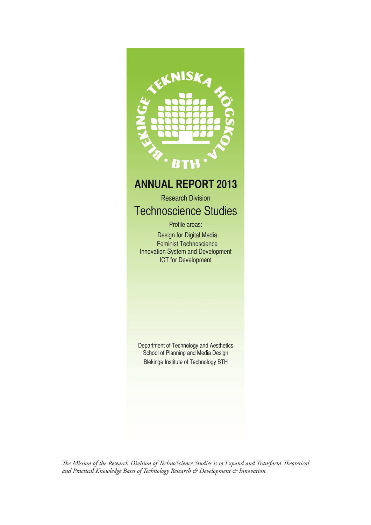

# **ANNUAL REPORT 2013**

Research Division Technoscience Studies

Profile areas:

 Design for Digital Media Feminist Technoscience Innovation System and DevelopmentICT for Development

Department of Technology and Aesthetics School of Planning and Media Design Blekinge Institute of Technology BTH

*The Mission of the Research Division of TechnoScience Studies is to Expand and Transform Theoretical and Practical Knowledge Bases of Technology Research & Development & Innovation.*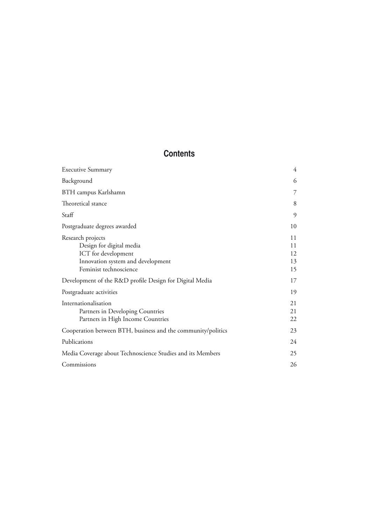# **Contents**

| <b>Executive Summary</b>                                                                                                            | 4                          |
|-------------------------------------------------------------------------------------------------------------------------------------|----------------------------|
| Background                                                                                                                          | 6                          |
| BTH campus Karlshamn                                                                                                                | 7                          |
| Theoretical stance                                                                                                                  | 8                          |
| Staff                                                                                                                               | 9                          |
| Postgraduate degrees awarded                                                                                                        | 10                         |
| Research projects<br>Design for digital media<br>ICT for development<br>Innovation system and development<br>Feminist technoscience | 11<br>11<br>12<br>13<br>15 |
| Development of the R&D profile Design for Digital Media                                                                             | 17                         |
| Postgraduate activities                                                                                                             | 19                         |
| Internationalisation<br>Partners in Developing Countries<br>Partners in High Income Countries                                       | 21<br>21<br>22             |
| Cooperation between BTH, business and the community/politics                                                                        | 23                         |
| Publications                                                                                                                        | 24                         |
| Media Coverage about Technoscience Studies and its Members                                                                          | 25                         |
| Commissions                                                                                                                         | 26                         |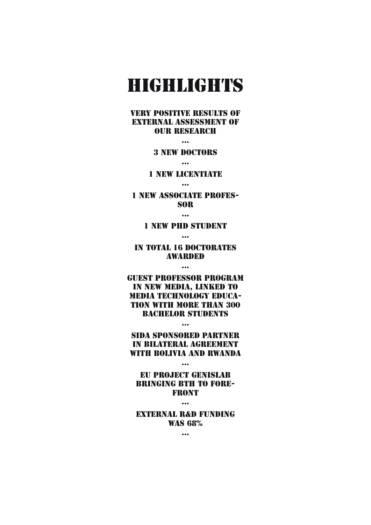# **HIGHLIGHTS**

## Very positive results of external assessment of our research

…

## 3 new doctors

…

## 1 new licentiate …

1 new associate professor

…

## 1 new PhD student …

# In total 16 doctorates awarded

…

Guest professor program in New Media, linked to media technology education with more than 300 **BACHELOR STUDENTS** 

Sida sponsored partner in bilateral agreement with Bolivia and Rwanda

…

EU project GenisLab bringing BTH to fore-**FRONT** 

…

## …

## External R&D funding was 68%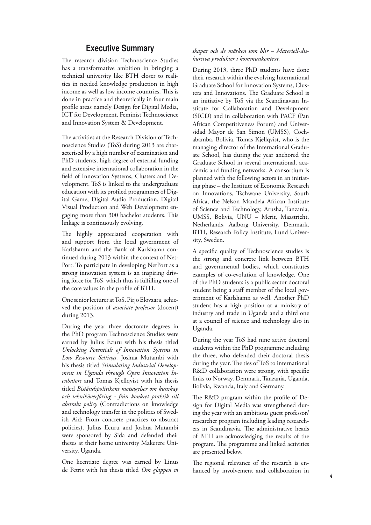## **Executive Summary**

The research division Technoscience Studies has a transformative ambition in bringing a technical university like BTH closer to realities in needed knowledge production in high income as well as low income countries. This is done in practice and theoretically in four main profile areas namely Design for Digital Media, ICT for Development, Feminist Technoscience and Innovation System & Development.

The activities at the Research Division of Technoscience Studies (ToS) during 2013 are characterised by a high number of examination and PhD students, high degree of external funding and extensive international collaboration in the field of Innovation Systems, Clusters and Development. ToS is linked to the undergraduate education with its profiled programmes of Digital Game, Digital Audio Production, Digital Visual Production and Web Development engaging more than 300 bachelor students. This linkage is continuously evolving.

The highly appreciated cooperation with and support from the local government of Karlshamn and the Bank of Karlshamn continued during 2013 within the context of Net-Port. To participate in developing NetPort as a strong innovation system is an inspiring driving force for ToS, which thus is fulfilling one of the core values in the profile of BTH.

One senior lecturer at ToS, Pirjo Elovaara, achieved the position of *associate professor* (docent) during 2013.

During the year three doctorate degrees in the PhD program Technoscience Studies were earned by Julius Ecuru with his thesis titled *Unlocking Potentials of Innovation Systems in Low Resource Settings,* Joshua Mutambi with his thesis titled *Stimulating Industrial Development in Uganda through Open Innovation Incubators* and Tomas Kjellqvist with his thesis titled *Biståndspolitikens motsägelser om kunskap och tekniköverföring - från konkret praktik till abstrakt policy* (Contradictions on knowledge and technology transfer in the politics of Swedish Aid: From concrete practices to abstract policies). Julius Ecuru and Joshua Mutambi were sponsored by Sida and defended their theses at their home university Makerere University, Uganda.

One licentiate degree was earned by Linus de Petris with his thesis titled *Om glappen vi* 

## *skapar och de märken som blir – Materiell-diskursiva produkter i kommunkontext.*

During 2013, three PhD students have done their research within the evolving International Graduate School for Innovation Systems, Clusters and Innovations. The Graduate School is an initiative by ToS via the Scandinavian Institute for Collaboration and Development (SICD) and in collaboration with PACF (Pan African Competitiveness Forum) and Universidad Mayor de San Simon (UMSS), Cochabamba, Bolivia. Tomas Kjellqvist, who is the managing director of the International Graduate School, has during the year anchored the Graduate School in several international, academic and funding networks. A consortium is planned with the following actors in an initiating phase – the Institute of Economic Research on Innovations, Tschwane University, South Africa, the Nelson Mandela African Institute of Science and Technology, Arusha, Tanzania, UMSS, Bolivia, UNU – Merit, Maastricht, Netherlands, Aalborg University, Denmark, BTH, Research Policy Institute, Lund University, Sweden.

A specific quality of Technoscience studies is the strong and concrete link between BTH and governmental bodies, which constitutes examples of co-evolution of knowledge. One of the PhD students is a public sector doctoral student being a staff member of the local government of Karlshamn as well. Another PhD student has a high position at a ministry of industry and trade in Uganda and a third one at a council of science and technology also in Uganda.

During the year ToS had nine active doctoral students within the PhD programme including the three, who defended their doctoral thesis during the year. The ties of ToS to international R&D collaboration were strong, with specific links to Norway, Denmark, Tanzania, Uganda, Bolivia, Rwanda, Italy and Germany.

The R&D program within the profile of Design for Digital Media was strengthened during the year with an ambitious guest professor/ researcher program including leading researchers in Scandinavia. The administrative heads of BTH are acknowledging the results of the program. The programme and linked activities are presented below.

The regional relevance of the research is enhanced by involvement and collaboration in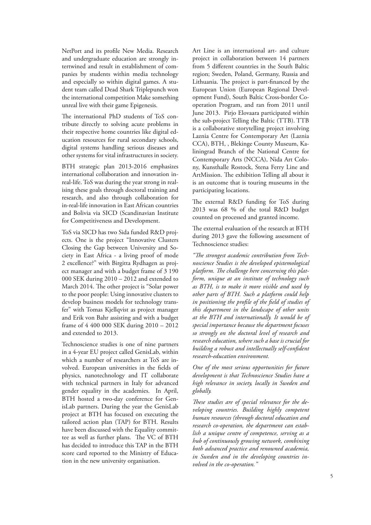NetPort and its profile New Media. Research and undergraduate education are strongly intertwined and result in establishment of companies by students within media technology and especially so within digital games. A student team called Dead Shark Triplepunch won the international competition Make something unreal live with their game Epigenesis.

The international PhD students of ToS contribute directly to solving acute problems in their respective home countries like digital education resources for rural secondary schools, digital systems handling serious diseases and other systems for vital infrastructures in society.

BTH strategic plan 2013-2016 emphasizes international collaboration and innovation inreal-life. ToS was during the year strong in realising these goals through doctoral training and research, and also through collaboration for in-real-life innovation in East African countries and Bolivia via SICD (Scandinavian Institute for Competitiveness and Development.

ToS via SICD has two Sida funded R&D projects. One is the project "Innovative Clusters Closing the Gap between University and Society in East Africa - a living proof of mode 2 excellence?" with Birgitta Rydhagen as project manager and with a budget frame of 3 190 000 SEK during 2010 – 2012 and extended to March 2014. The other project is "Solar power to the poor people: Using innovative clusters to develop business models for technology transfer" with Tomas Kjellqvist as project manager and Erik von Bahr assisting and with a budget frame of 4 400 000 SEK during 2010 – 2012 and extended to 2013.

Technoscience studies is one of nine partners in a 4-year EU project called GenisLab, within which a number of researchers at ToS are involved. European universities in the fields of physics, nanotechnology and IT collaborate with technical partners in Italy for advanced gender equality in the academies. In April, BTH hosted a two-day conference for GenisLab partners. During the year the GenisLab project at BTH has focused on executing the tailored action plan (TAP) for BTH. Results have been discussed with the Equality committee as well as further plans. The VC of BTH has decided to introduce this TAP in the BTH score card reported to the Ministry of Education in the new university organisation.

Art Line is an international art- and culture project in collaboration between 14 partners from 5 different countries in the South Baltic region; Sweden, Poland, Germany, Russia and Lithuania. The project is part-financed by the European Union (European Regional Development Fund), South Baltic Cross-border Cooperation Program, and ran from 2011 until June 2013. Pirjo Elovaara participated within the sub-project Telling the Baltic (TTB). TTB is a collaborative storytelling project involving Laznia Centre for Contemporary Art (Laznia CCA), BTH, , Blekinge County Museum, Kaliningrad Branch of the National Centre for Contemporary Arts (NCCA), Nida Art Colony, Kunsthalle Rostock, Stena Ferry Line and ArtMission. The exhibition Telling all about it is an outcome that is touring museums in the participating locations.

The external R&D funding for ToS during 2013 was 68 % of the total R&D budget counted on processed and granted income.

The external evaluation of the research at BTH during 2013 gave the following assessment of Technoscience studies:

*"The strongest academic contribution from Technoscience Studies is the developed epistemological platform. The challenge here concerning this platform, unique at an institute of technology such as BTH, is to make it more visible and used by other parts of BTH. Such a platform could help in positioning the profile of the field of studies of this department in the landscape of other units at the BTH and internationally. It would be of special importance because the department focuses so strongly on the doctoral level of research and research education, where such a base is crucial for building a robust and intellectually self-confident research-education environment.*

*One of the most serious opportunities for future development is that Technoscience Studies have a high relevance in society, locally in Sweden and globally.*

*These studies are of special relevance for the developing countries. Building highly competent human resources (through doctoral education and research co-operation, the department can establish a unique centre of competence, serving as a hub of continuously growing network, combining both advanced practice and renowned academia, in Sweden and in the developing countries involved in the co-operation."*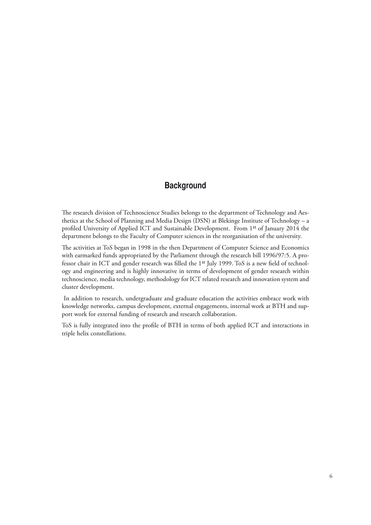# **Background**

The research division of Technoscience Studies belongs to the department of Technology and Aesthetics at the School of Planning and Media Design (DSN) at Blekinge Institute of Technology – a profiled University of Applied ICT and Sustainable Development. From 1st of January 2014 the department belongs to the Faculty of Computer sciences in the reorganisation of the university.

The activities at ToS began in 1998 in the then Department of Computer Science and Economics with earmarked funds appropriated by the Parliament through the research bill 1996/97:5. A professor chair in ICT and gender research was filled the 1st July 1999. ToS is a new field of technology and engineering and is highly innovative in terms of development of gender research within technoscience, media technology, methodology for ICT related research and innovation system and cluster development.

 In addition to research, undergraduate and graduate education the activities embrace work with knowledge networks, campus development, external engagements, internal work at BTH and support work for external funding of research and research collaboration.

ToS is fully integrated into the profile of BTH in terms of both applied ICT and interactions in triple helix constellations.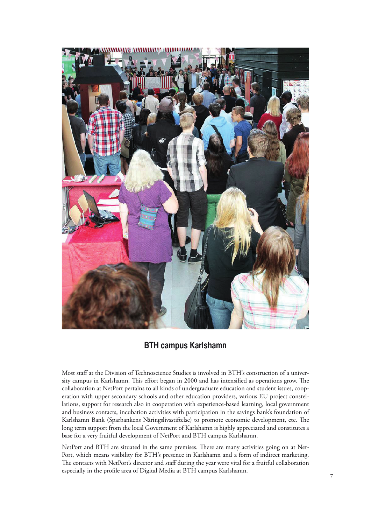

# **BTH campus Karlshamn**

Most staff at the Division of Technoscience Studies is involved in BTH's construction of a university campus in Karlshamn. This effort began in 2000 and has intensified as operations grow. The collaboration at NetPort pertains to all kinds of undergraduate education and student issues, cooperation with upper secondary schools and other education providers, various EU project constellations, support for research also in cooperation with experience-based learning, local government and business contacts, incubation activities with participation in the savings bank's foundation of Karlshamn Bank (Sparbankens Näringslivsstiftelse) to promote economic development, etc. The long term support from the local Government of Karlshamn is highly appreciated and constitutes a base for a very fruitful development of NetPort and BTH campus Karlshamn.

NetPort and BTH are situated in the same premises. There are many activities going on at Net-Port, which means visibility for BTH's presence in Karlshamn and a form of indirect marketing. The contacts with NetPort's director and staff during the year were vital for a fruitful collaboration especially in the profile area of Digital Media at BTH campus Karlshamn.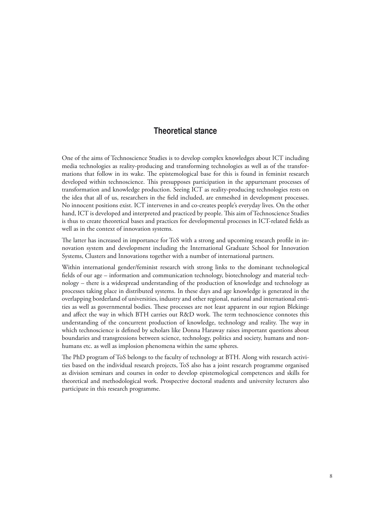# **Theoretical stance**

One of the aims of Technoscience Studies is to develop complex knowledges about ICT including media technologies as reality-producing and transforming technologies as well as of the transformations that follow in its wake. The epistemological base for this is found in feminist research developed within technoscience. This presupposes participation in the appurtenant processes of transformation and knowledge production. Seeing ICT as reality-producing technologies rests on the idea that all of us, researchers in the field included, are enmeshed in development processes. No innocent positions exist. ICT intervenes in and co-creates people's everyday lives. On the other hand, ICT is developed and interpreted and practiced by people. This aim of Technoscience Studies is thus to create theoretical bases and practices for developmental processes in ICT-related fields as well as in the context of innovation systems.

The latter has increased in importance for ToS with a strong and upcoming research profile in innovation system and development including the International Graduate School for Innovation Systems, Clusters and Innovations together with a number of international partners.

Within international gender/feminist research with strong links to the dominant technological fields of our age – information and communication technology, biotechnology and material technology – there is a widespread understanding of the production of knowledge and technology as processes taking place in distributed systems. In these days and age knowledge is generated in the overlapping borderland of universities, industry and other regional, national and international entities as well as governmental bodies. These processes are not least apparent in our region Blekinge and affect the way in which BTH carries out R&D work. The term technoscience connotes this understanding of the concurrent production of knowledge, technology and reality. The way in which technoscience is defined by scholars like Donna Haraway raises important questions about boundaries and transgressions between science, technology, politics and society, humans and nonhumans etc. as well as implosion phenomena within the same spheres.

The PhD program of ToS belongs to the faculty of technology at BTH. Along with research activities based on the individual research projects, ToS also has a joint research programme organised as division seminars and courses in order to develop epistemological competences and skills for theoretical and methodological work. Prospective doctoral students and university lecturers also participate in this research programme.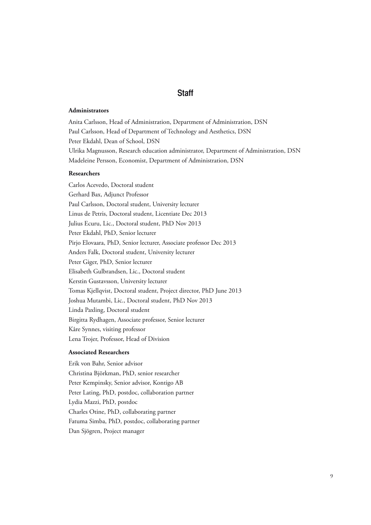# **Staff**

#### **Administrators**

Anita Carlsson, Head of Administration, Department of Administration, DSN Paul Carlsson, Head of Department of Technology and Aesthetics, DSN Peter Ekdahl, Dean of School, DSN Ulrika Magnusson, Research education administrator, Department of Administration, DSN Madeleine Persson, Economist, Department of Administration, DSN

## **Researchers**

Carlos Acevedo, Doctoral student Gerhard Bax, Adjunct Professor Paul Carlsson, Doctoral student, University lecturer Linus de Petris, Doctoral student, Licentiate Dec 2013 Julius Ecuru, Lic., Doctoral student, PhD Nov 2013 Peter Ekdahl, PhD, Senior lecturer Pirjo Elovaara, PhD, Senior lecturer, Associate professor Dec 2013 Anders Falk, Doctoral student, University lecturer Peter Giger, PhD, Senior lecturer Elisabeth Gulbrandsen, Lic., Doctoral student Kerstin Gustavsson, University lecturer Tomas Kjellqvist, Doctoral student, Project director, PhD June 2013 Joshua Mutambi, Lic., Doctoral student, PhD Nov 2013 Linda Paxling, Doctoral student Birgitta Rydhagen, Associate professor, Senior lecturer Kåre Synnes, visiting professor Lena Trojer, Professor, Head of Division

## **Associated Researchers**

Erik von Bahr, Senior advisor Christina Björkman, PhD, senior researcher Peter Kempinsky, Senior advisor, Kontigo AB Peter Lating, PhD, postdoc, collaboration partner Lydia Mazzi, PhD, postdoc Charles Otine, PhD, collaborating partner Fatuma Simba, PhD, postdoc, collaborating partner Dan Sjögren, Project manager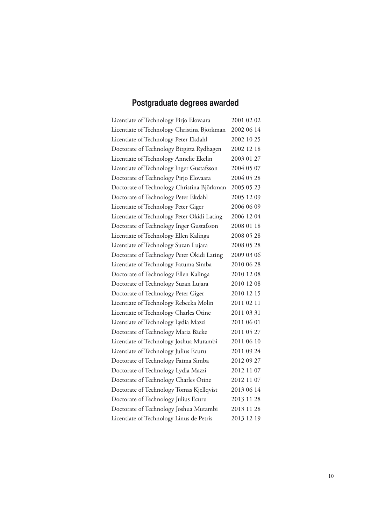# **Postgraduate degrees awarded**

| Licentiate of Technology Pirjo Elovaara     | 2001 02 02 |
|---------------------------------------------|------------|
| Licentiate of Technology Christina Björkman | 2002 06 14 |
| Licentiate of Technology Peter Ekdahl       | 2002 10 25 |
| Doctorate of Technology Birgitta Rydhagen   | 2002 12 18 |
| Licentiate of Technology Annelie Ekelin     | 2003 01 27 |
| Licentiate of Technology Inger Gustafsson   | 2004 05 07 |
| Doctorate of Technology Pirjo Elovaara      | 2004 05 28 |
| Doctorate of Technology Christina Björkman  | 2005 05 23 |
| Doctorate of Technology Peter Ekdahl        | 2005 12 09 |
| Licentiate of Technology Peter Giger        | 2006 06 09 |
| Licentiate of Technology Peter Okidi Lating | 2006 12 04 |
| Doctorate of Technology Inger Gustafsson    | 2008 01 18 |
| Licentiate of Technology Ellen Kalinga      | 2008 05 28 |
| Licentiate of Technology Suzan Lujara       | 2008 05 28 |
| Doctorate of Technology Peter Okidi Lating  | 2009 03 06 |
| Licentiate of Technology Fatuma Simba       | 2010 06 28 |
| Doctorate of Technology Ellen Kalinga       | 2010 12 08 |
| Doctorate of Technology Suzan Lujara        | 2010 12 08 |
| Doctorate of Technology Peter Giger         | 2010 12 15 |
| Licentiate of Technology Rebecka Molin      | 2011 02 11 |
| Licentiate of Technology Charles Otine      | 2011 03 31 |
| Licentiate of Technology Lydia Mazzi        | 2011 06 01 |
| Doctorate of Technology Maria Bäcke         | 2011 05 27 |
| Licentiate of Technology Joshua Mutambi     | 2011 06 10 |
| Licentiate of Technology Julius Ecuru       | 2011 09 24 |
| Doctorate of Technology Fatma Simba         | 2012 09 27 |
| Doctorate of Technology Lydia Mazzi         | 2012 11 07 |
| Doctorate of Technology Charles Otine       | 2012 11 07 |
| Doctorate of Technology Tomas Kjellqvist    | 2013 06 14 |
| Doctorate of Technology Julius Ecuru        | 2013 11 28 |
| Doctorate of Technology Joshua Mutambi      | 2013 11 28 |
| Licentiate of Technology Linus de Petris    | 2013 12 19 |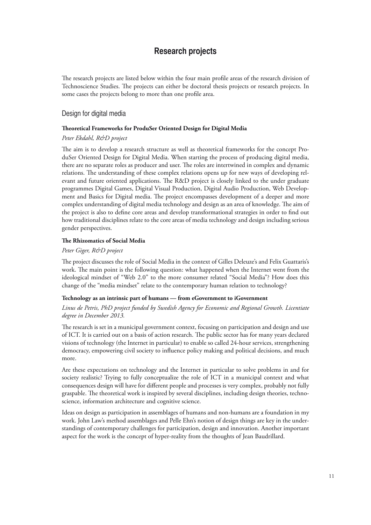# **Research projects**

The research projects are listed below within the four main profile areas of the research division of Technoscience Studies. The projects can either be doctoral thesis projects or research projects. In some cases the projects belong to more than one profile area.

## Design for digital media

## **Theoretical Frameworks for ProduSer Oriented Design for Digital Media**

## *Peter Ekdahl, R&D project*

The aim is to develop a research structure as well as theoretical frameworks for the concept ProduSer Oriented Design for Digital Media. When starting the process of producing digital media, there are no separate roles as producer and user. The roles are intertwined in complex and dynamic relations. The understanding of these complex relations opens up for new ways of developing relevant and future oriented applications. The R&D project is closely linked to the under graduate programmes Digital Games, Digital Visual Production, Digital Audio Production, Web Development and Basics for Digital media. The project encompasses development of a deeper and more complex understanding of digital media technology and design as an area of knowledge. The aim of the project is also to define core areas and develop transformational strategies in order to find out how traditional disciplines relate to the core areas of media technology and design including serious gender perspectives.

### **The Rhizomatics of Social Media**

## *Peter Giger, R&D project*

The project discusses the role of Social Media in the context of Gilles Deleuze's and Felix Guattaris's work. The main point is the following question: what happened when the Internet went from the ideological mindset of "Web 2.0" to the more consumer related "Social Media"? How does this change of the "media mindset" relate to the contemporary human relation to technology?

#### **Technology as an intrinsic part of humans — from eGovernment to iGovernment**

*Linus de Petris, PhD project funded by Swedish Agency for Economic and Regional Growth. Licentiate degree in December 2013.*

The research is set in a municipal government context, focusing on participation and design and use of ICT. It is carried out on a basis of action research. The public sector has for many years declared visions of technology (the Internet in particular) to enable so called 24-hour services, strengthening democracy, empowering civil society to influence policy making and political decisions, and much more.

Are these expectations on technology and the Internet in particular to solve problems in and for society realistic? Trying to fully conceptualize the role of ICT in a municipal context and what consequences design will have for different people and processes is very complex, probably not fully graspable. The theoretical work is inspired by several disciplines, including design theories, technoscience, information architecture and cognitive science.

Ideas on design as participation in assemblages of humans and non-humans are a foundation in my work. John Law's method assemblages and Pelle Ehn's notion of design things are key in the understandings of contemporary challenges for participation, design and innovation. Another important aspect for the work is the concept of hyper-reality from the thoughts of Jean Baudrillard.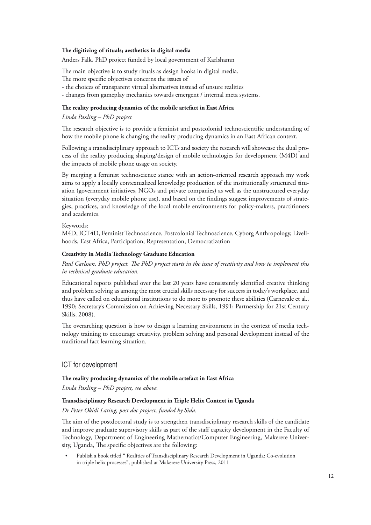## **The digitizing of rituals; aesthetics in digital media**

Anders Falk, PhD project funded by local government of Karlshamn

The main objective is to study rituals as design hooks in digital media. The more specific objectives concerns the issues of - the choices of transparent virtual alternatives instead of unsure realities - changes from gameplay mechanics towards emergent / internal meta systems.

## **The reality producing dynamics of the mobile artefact in East Africa**

*Linda Paxling – PhD project*

The research objective is to provide a feminist and postcolonial technoscientific understanding of how the mobile phone is changing the reality producing dynamics in an East African context.

Following a transdisciplinary approach to ICTs and society the research will showcase the dual process of the reality producing shaping/design of mobile technologies for development (M4D) and the impacts of mobile phone usage on society.

By merging a feminist technoscience stance with an action-oriented research approach my work aims to apply a locally contextualized knowledge production of the institutionally structured situation (government initiatives, NGOs and private companies) as well as the unstructured everyday situation (everyday mobile phone use), and based on the findings suggest improvements of strategies, practices, and knowledge of the local mobile environments for policy-makers, practitioners and academics.

### Keywords:

M4D, ICT4D, Feminist Technoscience, Postcolonial Technoscience, Cyborg Anthropology, Livelihoods, East Africa, Participation, Representation, Democratization

### **Creativity in Media Technology Graduate Education**

*Paul Carlsson, PhD project. The PhD project starts in the issue of creativity and how to implement this in technical graduate education.*

Educational reports published over the last 20 years have consistently identified creative thinking and problem solving as among the most crucial skills necessary for success in today's workplace, and thus have called on educational institutions to do more to promote these abilities (Carnevale et al., 1990; Secretary's Commission on Achieving Necessary Skills, 1991; Partnership for 21st Century Skills, 2008).

The overarching question is how to design a learning environment in the context of media technology training to encourage creativity, problem solving and personal development instead of the traditional fact learning situation.

## ICT for development

## **The reality producing dynamics of the mobile artefact in East Africa**

*Linda Paxling – PhD project, see above.*

#### **Transdisciplinary Research Development in Triple Helix Context in Uganda**

*Dr Peter Okidi Lating, post doc project, funded by Sida.*

The aim of the postdoctoral study is to strengthen transdisciplinary research skills of the candidate and improve graduate supervisory skills as part of the staff capacity development in the Faculty of Technology, Department of Engineering Mathematics/Computer Engineering, Makerere University, Uganda, The specific objectives are the following:

• Publish a book titled " Realities of Transdisciplinary Research Development in Uganda: Co-evolution in triple helix processes", published at Makerere University Press, 2011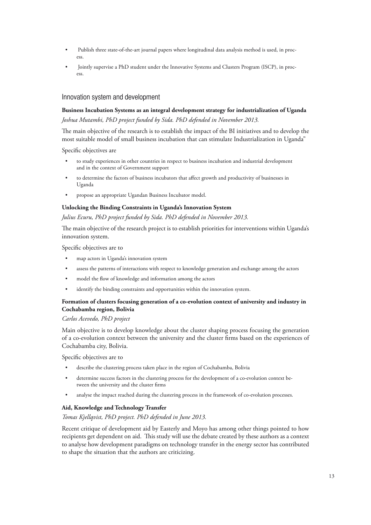- Publish three state-of-the-art journal papers where longitudinal data analysis method is used, in process.
- Jointly supervise a PhD student under the Innovative Systems and Clusters Program (ISCP), in process.

## Innovation system and development

## **Business Incubation Systems as an integral development strategy for industrialization of Uganda**

*Joshua Mutambi, PhD project funded by Sida. PhD defended in November 2013.*

The main objective of the research is to establish the impact of the BI initiatives and to develop the most suitable model of small business incubation that can stimulate Industrialization in Uganda"

Specific objectives are

- to study experiences in other countries in respect to business incubation and industrial development and in the context of Government support
- to determine the factors of business incubators that affect growth and productivity of businesses in Uganda
- propose an appropriate Ugandan Business Incubator model.

## **Unlocking the Binding Constraints in Uganda's Innovation System**

*Julius Ecuru, PhD project funded by Sida. PhD defended in November 2013.*

The main objective of the research project is to establish priorities for interventions within Uganda's innovation system.

Specific objectives are to

- map actors in Uganda's innovation system
- assess the patterns of interactions with respect to knowledge generation and exchange among the actors
- model the flow of knowledge and information among the actors
- identify the binding constraints and opportunities within the innovation system.

## **Formation of clusters focusing generation of a co-evolution context of university and industry in Cochabamba region, Bolivia**

## *Carlos Acevedo, PhD project*

Main objective is to develop knowledge about the cluster shaping process focusing the generation of a co-evolution context between the university and the cluster firms based on the experiences of Cochabamba city, Bolivia.

Specific objectives are to

- describe the clustering process taken place in the region of Cochabamba, Bolivia
- determine success factors in the clustering process for the development of a co-evolution context between the university and the cluster firms
- analyse the impact reached during the clustering process in the framework of co-evolution processes.

## **Aid, Knowledge and Technology Transfer**

## *Tomas Kjellqvist, PhD project. PhD defended in June 2013.*

Recent critique of development aid by Easterly and Moyo has among other things pointed to how recipients get dependent on aid. This study will use the debate created by these authors as a context to analyse how development paradigms on technology transfer in the energy sector has contributed to shape the situation that the authors are criticizing.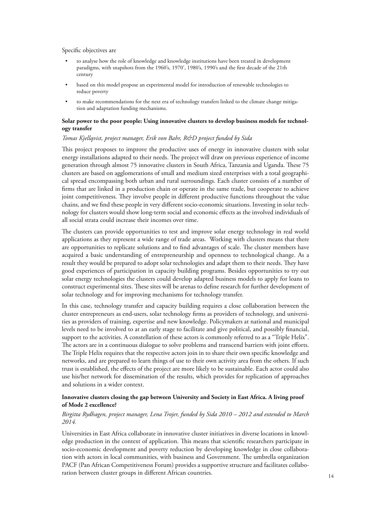Specific objectives are

- to analyse how the role of knowledge and knowledge institutions have been treated in development paradigms, with snapshots from the 1960's, 1970', 1980's, 1990's and the first decade of the 21th century
- based on this model propose an experimental model for introduction of renewable technologies to reduce poverty
- to make recommendations for the next era of technology transfers linked to the climate change mitigation and adaptation funding mechanisms.

### **Solar power to the poor people: Using innovative clusters to develop business models for technology transfer**

#### *Tomas Kjellqvist, project manager, Erik von Bahr, R&D project funded by Sida*

This project proposes to improve the productive uses of energy in innovative clusters with solar energy installations adapted to their needs. The project will draw on previous experience of income generation through almost 75 innovative clusters in South Africa, Tanzania and Uganda. These 75 clusters are based on agglomerations of small and medium sized enterprises with a total geographical spread encompassing both urban and rural surroundings. Each cluster consists of a number of firms that are linked in a production chain or operate in the same trade, but cooperate to achieve joint competitiveness. They involve people in different productive functions throughout the value chains, and we find these people in very different socio-economic situations. Investing in solar technology for clusters would show long-term social and economic effects as the involved individuals of all social strata could increase their incomes over time.

The clusters can provide opportunities to test and improve solar energy technology in real world applications as they represent a wide range of trade areas. Working with clusters means that there are opportunities to replicate solutions and to find advantages of scale. The cluster members have acquired a basic understanding of entrepreneurship and openness to technological change. As a result they would be prepared to adopt solar technologies and adapt them to their needs. They have good experiences of participation in capacity building programs. Besides opportunities to try out solar energy technologies the clusters could develop adapted business models to apply for loans to construct experimental sites. These sites will be arenas to define research for further development of solar technology and for improving mechanisms for technology transfer.

In this case, technology transfer and capacity building requires a close collaboration between the cluster entrepreneurs as end-users, solar technology firms as providers of technology, and universities as providers of training, expertise and new knowledge. Policymakers at national and municipal levels need to be involved to at an early stage to facilitate and give political, and possibly financial, support to the activities. A constellation of these actors is commonly referred to as a "Triple Helix". The actors are in a continuous dialogue to solve problems and transcend barriers with joint efforts. The Triple Helix requires that the respective actors join in to share their own specific knowledge and networks, and are prepared to learn things of use to their own activity area from the others. If such trust is established, the effects of the project are more likely to be sustainable. Each actor could also use his/her network for dissemination of the results, which provides for replication of approaches and solutions in a wider context.

## **Innovative clusters closing the gap between University and Society in East Africa. A living proof of Mode 2 excellence?**

## *Birgitta Rydhagen, project manager, Lena Trojer, funded by Sida 2010 – 2012 and extended to March 2014.*

Universities in East Africa collaborate in innovative cluster initiatives in diverse locations in knowledge production in the context of application. This means that scientific researchers participate in socio-economic development and poverty reduction by developing knowledge in close collaboration with actors in local communities, with business and Government. The umbrella organization PACF (Pan African Competitiveness Forum) provides a supportive structure and facilitates collaboration between cluster groups in different African countries.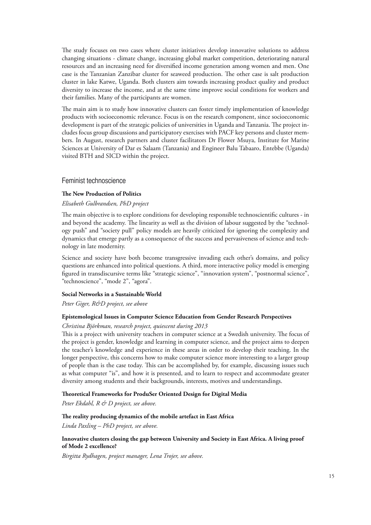The study focuses on two cases where cluster initiatives develop innovative solutions to address changing situations - climate change, increasing global market competition, deteriorating natural resources and an increasing need for diversified income generation among women and men. One case is the Tanzanian Zanzibar cluster for seaweed production. The other case is salt production cluster in lake Katwe, Uganda. Both clusters aim towards increasing product quality and product diversity to increase the income, and at the same time improve social conditions for workers and their families. Many of the participants are women.

The main aim is to study how innovative clusters can foster timely implementation of knowledge products with socioeconomic relevance. Focus is on the research component, since socioeconomic development is part of the strategic policies of universities in Uganda and Tanzania. The project includes focus group discussions and participatory exercises with PACF key persons and cluster members. In August, research partners and cluster facilitators Dr Flower Msuya, Institute for Marine Sciences at University of Dar es Salaam (Tanzania) and Engineer Balu Tabaaro, Entebbe (Uganda) visited BTH and SICD within the project.

## Feminist technoscience

#### **The New Production of Politics**

## *Elisabeth Gulbrandsen, PhD project*

The main objective is to explore conditions for developing responsible technoscientific cultures - in and beyond the academy. The linearity as well as the division of labour suggested by the "technology push" and "society pull" policy models are heavily criticized for ignoring the complexity and dynamics that emerge partly as a consequence of the success and pervasiveness of science and technology in late modernity.

Science and society have both become transgressive invading each other's domains, and policy questions are enhanced into political questions. A third, more interactive policy model is emerging figured in transdiscursive terms like "strategic science", "innovation system", "postnormal science", "technoscience", "mode 2", "agora".

#### **Social Networks in a Sustainable World**

*Peter Giger, R&D project, see above*

#### **Epistemological Issues in Computer Science Education from Gender Research Perspectives**

#### *Christina Björkman, research project, quiescent during 2013*

This is a project with university teachers in computer science at a Swedish university. The focus of the project is gender, knowledge and learning in computer science, and the project aims to deepen the teacher's knowledge and experience in these areas in order to develop their teaching. In the longer perspective, this concerns how to make computer science more interesting to a larger group of people than is the case today. This can be accomplished by, for example, discussing issues such as what computer "is", and how it is presented, and to learn to respect and accommodate greater diversity among students and their backgrounds, interests, motives and understandings.

#### **Theoretical Frameworks for ProduSer Oriented Design for Digital Media**

*Peter Ekdahl, R & D project, see above.*

### **The reality producing dynamics of the mobile artefact in East Africa**

*Linda Paxling – PhD project, see above.*

## **Innovative clusters closing the gap between University and Society in East Africa. A living proof of Mode 2 excellence?**

*Birgitta Rydhagen, project manager, Lena Trojer, see above.*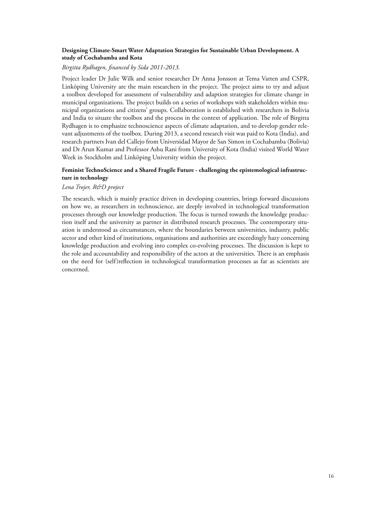## **Designing Climate-Smart Water Adaptation Strategies for Sustainable Urban Development. A study of Cochabamba and Kota**

## *Birgitta Rydhagen, financed by Sida 2011-2013.*

Project leader Dr Julie Wilk and senior researcher Dr Anna Jonsson at Tema Vatten and CSPR, Linköping University are the main researchers in the project. The project aims to try and adjust a toolbox developed for assessment of vulnerability and adaption strategies for climate change in municipal organizations. The project builds on a series of workshops with stakeholders within municipal organizations and citizens' groups. Collaboration is established with researchers in Bolivia and India to situate the toolbox and the process in the context of application. The role of Birgitta Rydhagen is to emphasize technoscience aspects of climate adaptation, and to develop gender relevant adjustments of the toolbox. During 2013, a second research visit was paid to Kota (India), and research partners Ivan del Callejo from Universidad Mayor de San Simon in Cochabamba (Bolivia) and Dr Arun Kumar and Professor Ashu Rani from University of Kota (India) visited World Water Week in Stockholm and Linköping University within the project.

## **Feminist TechnoScience and a Shared Fragile Future - challenging the epistemological infrastructure in technology**

## *Lena Trojer, R&D project*

The research, which is mainly practice driven in developing countries, brings forward discussions on how we, as researchers in technoscience, are deeply involved in technological transformation processes through our knowledge production. The focus is turned towards the knowledge production itself and the university as partner in distributed research processes. The contemporary situation is understood as circumstances, where the boundaries between universities, industry, public sector and other kind of institutions, organisations and authorities are exceedingly hazy concerning knowledge production and evolving into complex co-evolving processes. The discussion is kept to the role and accountability and responsibility of the actors at the universities. There is an emphasis on the need for (self)reflection in technological transformation processes as far as scientists are concerned.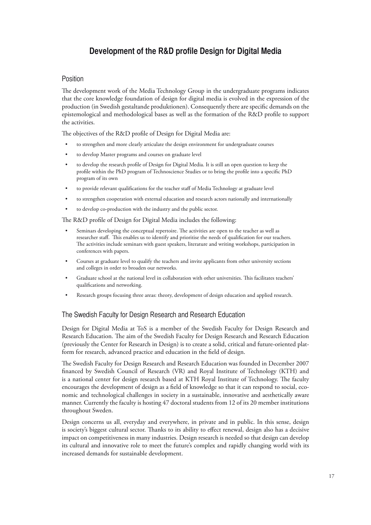# **Development of the R&D profile Design for Digital Media**

## Position

The development work of the Media Technology Group in the undergraduate programs indicates that the core knowledge foundation of design for digital media is evolved in the expression of the production (in Swedish gestaltande produktionen). Consequently there are specific demands on the epistemological and methodological bases as well as the formation of the R&D profile to support the activities.

The objectives of the R&D profile of Design for Digital Media are:

- to strengthen and more clearly articulate the design environment for undergraduate courses
- to develop Master programs and courses on graduate level
- to develop the research profile of Design for Digital Media. It is still an open question to keep the profile within the PhD program of Technoscience Studies or to bring the profile into a specific PhD program of its own
- to provide relevant qualifications for the teacher staff of Media Technology at graduate level
- to strengthen cooperation with external education and research actors nationally and internationally
- to develop co-production with the industry and the public sector.

The R&D profile of Design for Digital Media includes the following:

- Seminars developing the conceptual repertoire. The activities are open to the teacher as well as researcher staff. This enables us to identify and prioritise the needs of qualification for our teachers. The activities include seminars with guest speakers, literature and writing workshops, participation in conferences with papers.
- Courses at graduate level to qualify the teachers and invite applicants from other university sections and colleges in order to broaden our networks.
- Graduate school at the national level in collaboration with other universities. This facilitates teachers' qualifications and networking.
- Research groups focusing three areas: theory, development of design education and applied research.

## The Swedish Faculty for Design Research and Research Education

Design for Digital Media at ToS is a member of the Swedish Faculty for Design Research and Research Education. The aim of the Swedish Faculty for Design Research and Research Education (previously the Center for Research in Design) is to create a solid, critical and future-oriented platform for research, advanced practice and education in the field of design.

The Swedish Faculty for Design Research and Research Education was founded in December 2007 financed by Swedish Council of Research (VR) and Royal Institute of Technology (KTH) and is a national center for design research based at KTH Royal Institute of Technology. The faculty encourages the development of design as a field of knowledge so that it can respond to social, economic and technological challenges in society in a sustainable, innovative and aesthetically aware manner. Currently the faculty is hosting 47 doctoral students from 12 of its 20 member institutions throughout Sweden.

Design concerns us all, everyday and everywhere, in private and in public. In this sense, design is society's biggest cultural sector. Thanks to its ability to effect renewal, design also has a decisive impact on competitiveness in many industries. Design research is needed so that design can develop its cultural and innovative role to meet the future's complex and rapidly changing world with its increased demands for sustainable development.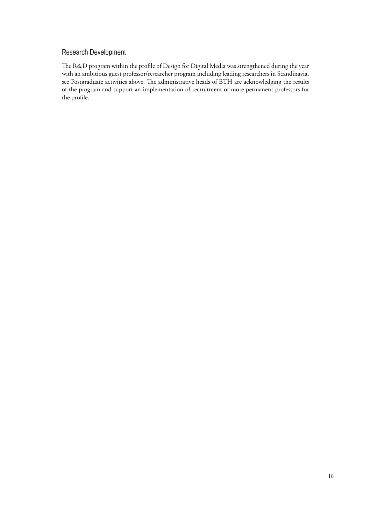# Research Development

The R&D program within the profile of Design for Digital Media was strengthened during the year with an ambitious guest professor/researcher program including leading researchers in Scandinavia, see Postgraduate activities above. The administrative heads of BTH are acknowledging the results of the program and support an implementation of recruitment of more permanent professors for the profile.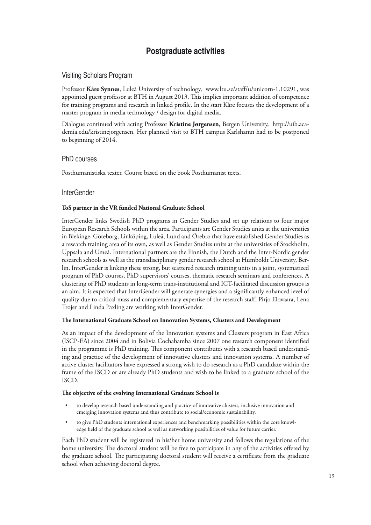# **Postgraduate activities**

## Visiting Scholars Program

Professor **Kåre Synnes**, Luleå University of technology, www.ltu.se/staff/u/unicorn-1.10291, was appointed guest professor at BTH in August 2013. This implies important addition of competence for training programs and research in linked profile. In the start Kåre focuses the development of a master program in media technology / design for digital media.

Dialogue continued with acting Professor **Kristine Jørgensen**, Bergen University, http://uib.academia.edu/kristinejorgensen. Her planned visit to BTH campus Karlshamn had to be postponed to beginning of 2014.

## PhD courses

Posthumanistiska texter. Course based on the book Posthumanist texts.

## **InterGender**

## **ToS partner in the VR funded National Graduate School**

InterGender links Swedish PhD programs in Gender Studies and set up relations to four major European Research Schools within the area. Participants are Gender Studies units at the universities in Blekinge, Göteborg, Linköping, Luleå, Lund and Örebro that have established Gender Studies as a research training area of its own, as well as Gender Studies units at the universities of Stockholm, Uppsala and Umeå. International partners are the Finnish, the Dutch and the Inter-Nordic gender research schools as well as the transdisciplinary gender research school at Humboldt University, Berlin. InterGender is linking these strong, but scattered research training units in a joint, systematized program of PhD courses, PhD supervisors' courses, thematic research seminars and conferences. A clustering of PhD students in long-term trans-institutional and ICT-facilitated discussion groups is an aim. It is expected that InterGender will generate synergies and a significantly enhanced level of quality due to critical mass and complementary expertise of the research staff. Pirjo Elovaara, Lena Trojer and Linda Paxling are working with InterGender.

## **The International Graduate School on Innovation Systems, Clusters and Development**

As an impact of the development of the Innovation systems and Clusters program in East Africa (ISCP-EA) since 2004 and in Bolivia Cochabamba since 2007 one research component identified in the programme is PhD training. This component contributes with a research based understanding and practice of the development of innovative clusters and innovation systems. A number of active cluster facilitators have expressed a strong wish to do research as a PhD candidate within the frame of the ISCD or are already PhD students and wish to be linked to a graduate school of the ISCD.

## **The objective of the evolving International Graduate School is**

- to develop research based understanding and practice of innovative clusters, inclusive innovation and emerging innovation systems and thus contribute to social/economic sustainability.
- to give PhD students international experiences and benchmarking possibilities within the core knowledge field of the graduate school as well as networking possibilities of value for future carrier.

Each PhD student will be registered in his/her home university and follows the regulations of the home university. The doctoral student will be free to participate in any of the activities offered by the graduate school. The participating doctoral student will receive a certificate from the graduate school when achieving doctoral degree.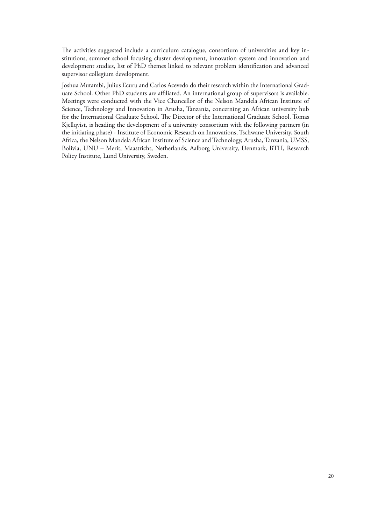The activities suggested include a curriculum catalogue, consortium of universities and key institutions, summer school focusing cluster development, innovation system and innovation and development studies, list of PhD themes linked to relevant problem identification and advanced supervisor collegium development.

Joshua Mutambi, Julius Ecuru and Carlos Acevedo do their research within the International Graduate School. Other PhD students are affiliated. An international group of supervisors is available. Meetings were conducted with the Vice Chancellor of the Nelson Mandela African Institute of Science, Technology and Innovation in Arusha, Tanzania, concerning an African university hub for the International Graduate School. The Director of the International Graduate School, Tomas Kjellqvist, is heading the development of a university consortium with the following partners (in the initiating phase) - Institute of Economic Research on Innovations, Tschwane University, South Africa, the Nelson Mandela African Institute of Science and Technology, Arusha, Tanzania, UMSS, Bolivia, UNU – Merit, Maastricht, Netherlands, Aalborg University, Denmark, BTH, Research Policy Institute, Lund University, Sweden.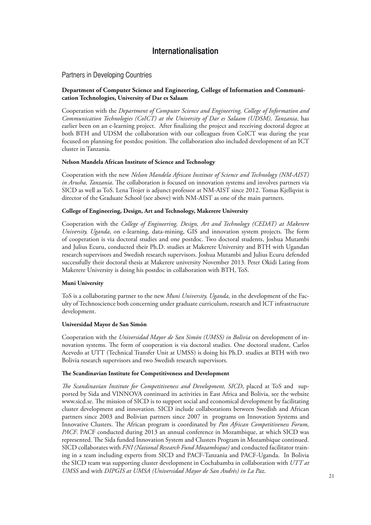# **Internationalisation**

## Partners in Developing Countries

## **Department of Computer Science and Engineering, College of Information and Communication Technologies, University of Dar es Salaam**

Cooperation with the *Department of Computer Science and Engineering, College of Information and Communication Technologies (CoICT) at the University of Dar es Salaam (UDSM), Tanzania*, has earlier been on an e-learning project. After finalizing the project and receiving doctoral degree at both BTH and UDSM the collaboration with our colleagues from CoICT was during the year focused on planning for postdoc position. The collaboration also included development of an ICT cluster in Tanzania.

### **Nelson Mandela African Institute of Science and Technology**

Cooperation with the new *Nelson Mandela African Institute of Science and Technology (NM-AIST) in Arusha, Tanzania*. The collaboration is focused on innovation systems and involves partners via SICD as well as ToS. Lena Trojer is adjunct professor at NM-AIST since 2012. Tomas Kjellqvist is director of the Graduate School (see above) with NM-AIST as one of the main partners.

## **College of Engineering, Design, Art and Technology, Makerere University**

Cooperation with the *College of Engineering, Design, Art and Technology (CEDAT) at Makerere University, Uganda*, on e-learning, data-mining, GIS and innovation system projects. The form of cooperation is via doctoral studies and one postdoc. Two doctoral students, Joshua Mutambi and Julius Ecuru, conducted their Ph.D. studies at Makerere University and BTH with Ugandan research supervisors and Swedish research supervisors. Joshua Mutambi and Julius Ecuru defended successfully their doctoral thesis at Makerere university November 2013. Peter Okidi Lating from Makerere University is doing his postdoc in collaboration with BTH, ToS.

## **Muni University**

ToS is a collaborating partner to the new *Muni University, Uganda*, in the development of the Faculty of Technoscience both concerning under graduate curriculum, research and ICT infrastructure development.

## **Universidad Mayor de San Simón**

Cooperation with the *Universidad Mayor de San Simón (UMSS) in Bolivia* on development of innovation systems. The form of cooperation is via doctoral studies. One doctoral student, Carlos Acevedo at UTT (Technical Transfer Unit at UMSS) is doing his Ph.D. studies at BTH with two Bolivia research supervisors and two Swedish research supervisors.

## **The Scandinavian Institute for Competitiveness and Development**

*The Scandinavian Institute for Competitiveness and Development, SICD*, placed at ToS and supported by Sida and VINNOVA continued its activities in East Africa and Bolivia, see the website www.sicd.se. The mission of SICD is to support social and economical development by facilitating cluster development and innovation. SICD include collaborations between Swedish and African partners since 2003 and Bolivian partners since 2007 in programs on Innovation Systems and Innovative Clusters. The African program is coordinated by *Pan African Competitiveness Forum, PACF*. PACF conducted during 2013 an annual conference in Mozambique, at which SICD was represented. The Sida funded Innovation System and Clusters Program in Mozambique continued. SICD collaborates with *FNI (National Research Fund Mozambique)* and conducted facilitator training in a team including experts from SICD and PACF-Tanzania and PACF-Uganda. In Bolivia the SICD team was supporting cluster development in Cochabamba in collaboration with *UTT at UMSS* and with *DIPGIS at UMSA (Universidad Mayor de San Andrès) in La Paz*.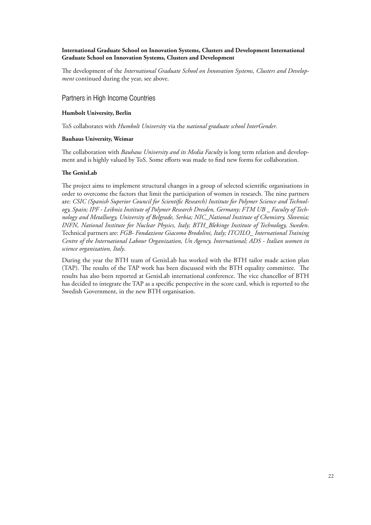## **International Graduate School on Innovation Systems, Clusters and Development International Graduate School on Innovation Systems, Clusters and Development**

The development of the *International Graduate School on Innovation Systems, Clusters and Development* continued during the year, see above.

## Partners in High Income Countries

## **Humbolt University, Berlin**

ToS collaborates with *Humbolt Universit*y via the *national graduate school InterGender*.

### **Bauhaus University, Weimar**

The collaboration with *Bauhaus University and its Media Faculty* is long term relation and development and is highly valued by ToS. Some efforts was made to find new forms for collaboration.

## **The GenisLab**

The project aims to implement structural changes in a group of selected scientific organisations in order to overcome the factors that limit the participation of women in research. The nine partners are: *CSIC (Spanish Superior Council for Scientific Research) Institute for Polymer Science and Technology, Spain; IPF - Leibniz Institute of Polymer Research Dresden, Germany; FTM UB \_ Faculty of Technology and Metallurgy, University of Belgrade, Serbia; NIC\_National Institute of Chemistry, Slovenia; INFN, National Institute for Nuclear Physics, Italy; BTH\_Blekinge Institute of Technology, Sweden*. Technical partners are: *FGB- Fondazione Giacomo Brodolini, Italy; ITC/ILO\_ International Training Centre of the International Labour Organization, Un Agency, International; ADS - Italian women in science organization, Italy*.

During the year the BTH team of GenisLab has worked with the BTH tailor made action plan (TAP). The results of the TAP work has been discussed with the BTH equality committee. The results has also been reported at GenisLab international conference. The vice chancellor of BTH has decided to integrate the TAP as a specific perspective in the score card, which is reported to the Swedish Government, in the new BTH organisation.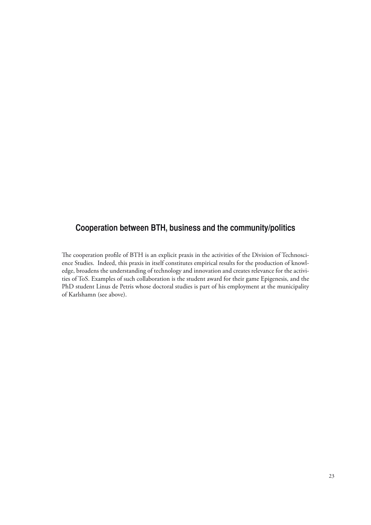# **Cooperation between BTH, business and the community/politics**

The cooperation profile of BTH is an explicit praxis in the activities of the Division of Technoscience Studies. Indeed, this praxis in itself constitutes empirical results for the production of knowledge, broadens the understanding of technology and innovation and creates relevance for the activities of ToS. Examples of such collaboration is the student award for their game Epigenesis, and the PhD student Linus de Petris whose doctoral studies is part of his employment at the municipality of Karlshamn (see above).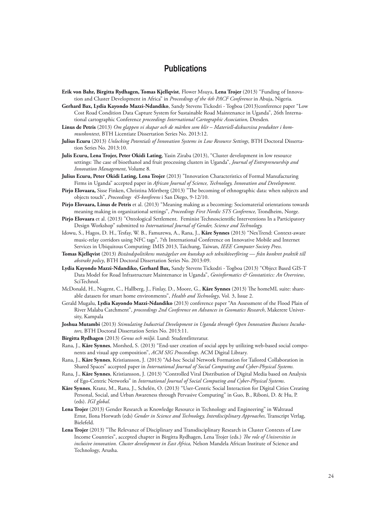## **Publications**

- **Erik von Bahr, Birgitta Rydhagen, Tomas Kjellqvist**, Flower Msuya, **Lena Trojer** (2013) "Funding of Innovation and Cluster Development in Africa" in *Proceedings of the 4th PACF Conference* in Abuja, Nigeria.
- **Gerhard Bax, Lydia Kayondo Mazzi-Ndandiko**, Sandy Stevens Tickodri Togboa (2013)conference paper "Low Cost Road Condition Data Capture System for Sustainable Road Maintenance in Uganda", 26th International cartographic Conference *proceedings International Cartographic Association,* Dresden*.*
- **Linus de Petris** (2013) *Om glappen vi skapar och de märken som blir Materiell-diskusrsiva produkter i kommunkontext*, BTH Licentiate Dissertation Series No. 2013:12.
- **Julius Ecuru** (2013) *Unlocking Potentials of Innovation Systems in Low Resource Settings,* BTH Doctoral Dissertation Series No. 2013:10.
- **Julis Ecuru, Lena Trojer, Peter Okidi Lating**, Yasin Ziraba (2013), "Cluster development in low resource settings: The case of bioethanol and fruit processing clusters in Uganda", *Journal of Entrepreneurship and Innovation Management*, Volume 8.
- **Julius Ecuru, Peter Okidi Lating, Lena Trojer** (2013) "Innovation Characteristics of Formal Manufacturing Firms in Uganda" accepted paper in *African Journal of Science, Technology, Innovation and Development*.
- **Pirjo Elovaara,** Sisse Finken, Christina Mörtberg (2013) "The becoming of ethnographic data: when subjects and objects touch", *Proceedings 4S-konferens* i San Diego, 9-12/10.
- **Pirjo Elovaara, Linus de Petris** et al. (2013) "Meaning making as a becoming: Sociomaterial orientations towards meaning making in organizational settings", *Proceedings First Nordic STS Conference,* Trondheim, Norge.
- Pirjo Elovaara et al. (2013) "Ontological Settlement. Feminist Technoscientific Interventions In a Participatory Design Workshop" submitted to *International Journal of Gender, Science and Technology.*
- Idowu, S., Hagos, D. H., Tesfay, W. B., Famurewa, A., Rana, J., **Kåre Synnes** (2013) "NexTrend: Context-aware music-relay corridors using NFC tags", 7th International Conference on Innovative Mobile and Internet Services in Ubiquitous Computing: IMIS 2013, Taichung, Taiwan, *IEEE Computer Society Press*.
- **Tomas Kjellqvist** (2013) *Biståndspolitikens motsägelser om kunskap och tekniköverföring från konkret praktik till abstrakt policy*, BTH Doctoral Dissertation Series No. 2013:09.
- **Lydia Kayondo Mazzi-Ndandiko, Gerhard Bax,** Sandy Stevens Tickodri Togboa (2013) "Object Based GIS-T Data Model for Road Infrastructure Maintenance in Uganda", *Geoinformatics & Geostatistics: An Overview*, SciTechnol.
- McDonald, H., Nugent, C., Hallberg, J., Finlay, D., Moore, G., **Kåre Synnes** (2013) The homeML suite: shareable datasets for smart home environments", *Health and Technology*, Vol. 3, Issue 2.
- Gerald Mugalu, **Lydia Kayondo Mazzi-Ndandiko** (2013) conference paper "An Assessment of the Flood Plain of River Malaba Catchment", *proceedings 2nd Conference on Advances in Geomatics Research*, Makerere University, Kampala
- **Joshua Mutambi** (2013) *Stimulating Industrial Development in Uganda through Open Innovation Business Incubators,* BTH Doctoral Dissertation Series No. 2013:11.
- **Birgitta Rydhagen** (2013) *Genus och miljö*. Lund: Studentlitteratur.
- Rana, J., **Kåre Synnes**, Morshed, S. (2013) "End-user creation of social apps by utilizing web-based social components and visual app composition", *ACM SIG Proceedings*. ACM Digital Library.
- Rana, J., **Kåre Synnes**, Kristiansson, J. (2013) "Ad-hoc Social Network Formation for Tailored Collaboration in Shared Spaces" accepted paper in *International Journal of Social Computing and Cyber-Physical Systems.*
- Rana, J., **Kåre Synnes**, Kristiansson, J. (2013) "Controlled Viral Distribution of Digital Media based on Analysis of Ego-Centric Networks" in *International Journal of Social Computing and Cyber-Physical Systems*.
- **Kåre Synnes**, Kranz, M., Rana, J., Schelén, O. (2013) "User-Centric Social Interaction for Digital Cities Creating Personal, Social, and Urban Awareness through Pervasive Computing" in Guo, B., Riboni, D. & Hu, P. (eds). *IGI global*.
- **Lena Trojer** (2013) Gender Research as Knowledge Resource in Technology and Engineering" in Waltraud Ernst, Ilona Horwath (eds) *Gender in Science and Technology, Interdisciplinary Approaches,* Transcript Verlag, Bielefeld.
- **Lena Trojer** (2013) "The Relevance of Disciplinary and Transdisciplinary Research in Cluster Contexts of Low Income Countries", accepted chapter in Birgitta Rydhagen, Lena Trojer (eds.) *The role of Universities in inclusive innovation. Cluster development in East Africa,* Nelson Mandela African Institute of Science and Technology, Arusha.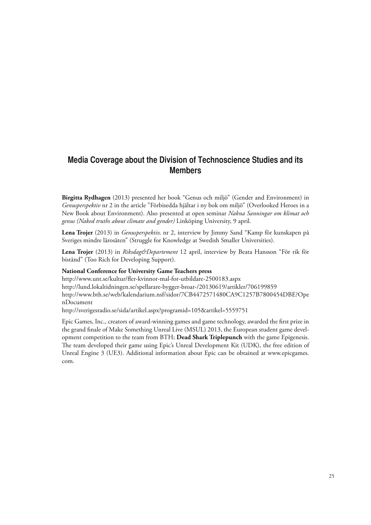# **Media Coverage about the Division of Technoscience Studies and its Members**

**Birgitta Rydhagen** (2013) presented her book "Genus och miljö" (Gender and Environment) in *Genusperspektiv* nr 2 in the article "Förbisedda hjältar i ny bok om miljö" (Overlooked Heroes in a New Book about Environment). Also presented at open seminar *Nakna Sanningar om klimat och genus (Naked truths about climate and gender)* Linköping University, 9 april.

**Lena Trojer** (2013) in *Genusperspektiv,* nr 2, interview by Jimmy Sand "Kamp för kunskapen på Sveriges mindre lärosäten" (Struggle for Knowledge at Swedish Smaller Universities).

**Lena Trojer** (2013) in *Riksdag&Departement* 12 april, interview by Beata Hansson "För rik för bistånd" (Too Rich for Developing Support).

## **National Conference for University Game Teachers press**

http://www.unt.se/kultur/fler-kvinnor-mal-for-utbildare-2500183.aspx http://lund.lokaltidningen.se/spellarare-bygger-broar-/20130619/artikler/706199859 http://www.bth.se/web/kalendarium.nsf/sidor/7CB4472571480CA9C1257B7800454DBE?Ope nDocument

http://sverigesradio.se/sida/artikel.aspx?programid=105&artikel=5559751

Epic Games, Inc., creators of award-winning games and game technology, awarded the first prize in the grand finale of Make Something Unreal Live (MSUL) 2013, the European student game development competition to the team from BTH; **Dead Shark Triplepunch** with the game Epigenesis. The team developed their game using Epic's Unreal Development Kit (UDK), the free edition of Unreal Engine 3 (UE3). Additional information about Epic can be obtained at www.epicgames. com.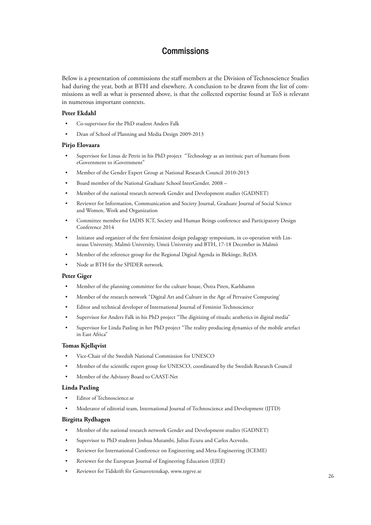# **Commissions**

Below is a presentation of commissions the staff members at the Division of Technoscience Studies had during the year, both at BTH and elsewhere. A conclusion to be drawn from the list of commissions as well as what is presented above, is that the collected expertise found at ToS is relevant in numerous important contexts.

## **Peter Ekdahl**

- Co-supervisor for the PhD student Anders Falk
- Dean of School of Planning and Media Design 2009-2013

#### **Pirjo Elovaara**

- Supervisor for Linus de Petris in his PhD project "Technology as an intrinsic part of humans from eGovernment to iGovernment"
- Member of the Gender Expert Group at National Research Council 2010-2013
- Board member of the National Graduate School InterGender, 2008 –
- Member of the national research network Gender and Development studies (GADNET)
- Reviewer for Information, Communication and Society Journal, Graduate Journal of Social Science and Women, Work and Organization
- Committee member for IADIS ICT, Society and Human Beings conference and Participatory Design Conference 2014
- Initiator and organizer of the first femininst design pedagogy symposium, in co-operation with Linneaus University, Malmö University, Umeå University and BTH, 17-18 December in Malmö
- Member of the reference group for the Regional Digital Agenda in Blekinge, ReDA
- Node at BTH for the SPIDER network.

#### **Peter Giger**

- Member of the planning committee for the culture house, Östra Piren, Karlshamn
- Member of the research network "Digital Art and Culture in the Age of Pervasive Computing'
- Editor and technical developer of International Journal of Feminist Technoscience
- Supervisor for Anders Falk in his PhD project "The digitizing of rituals; aesthetics in digital media"
- Supervisor for Linda Paxling in her PhD project "The reality producing dynamics of the mobile artefact in East Africa"

## **Tomas Kjellqvist**

- Vice-Chair of the Swedish National Commission for UNESCO
- Member of the scientific expert group for UNESCO, coordinated by the Swedish Research Council
- Member of the Advisory Board to CAAST-Net

### **Linda Paxling**

- Editor of Technoscience.se
- Moderator of editorial team, International Journal of Technoscience and Development (IJTD)

#### **Birgitta Rydhagen**

- Member of the national research network Gender and Development studies (GADNET)
- Supervisor to PhD students Joshua Mutambi, Julius Ecuru and Carlos Acevedo.
- Reviewer for International Conference on Engineering and Meta-Engineering (ICEME)
- Reviewer for the European Journal of Engineering Education (EJEE)
- Reviewer for Tidskrift för Genusvetenskap, www.tegeve.se